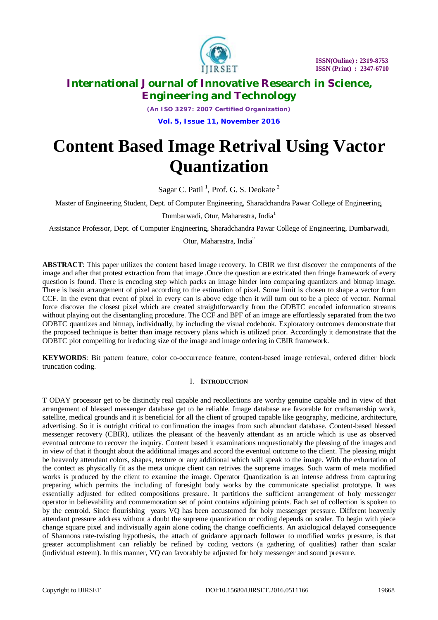

*(An ISO 3297: 2007 Certified Organization)* **Vol. 5, Issue 11, November 2016**

# **Content Based Image Retrival Using Vactor Quantization**

Sagar C. Patil<sup>1</sup>, Prof. G. S. Deokate<sup>2</sup>

Master of Engineering Student, Dept. of Computer Engineering, Sharadchandra Pawar College of Engineering,

Dumbarwadi, Otur, Maharastra, India<sup>1</sup>

Assistance Professor, Dept. of Computer Engineering, Sharadchandra Pawar College of Engineering, Dumbarwadi,

Otur, Maharastra, India<sup>2</sup>

**ABSTRACT**: This paper utilizes the content based image recovery. In CBIR we first discover the components of the image and after that protest extraction from that image .Once the question are extricated then fringe framework of every question is found. There is encoding step which packs an image hinder into comparing quantizers and bitmap image. There is basin arrangement of pixel according to the estimation of pixel. Some limit is chosen to shape a vector from CCF. In the event that event of pixel in every can is above edge then it will turn out to be a piece of vector. Normal force discover the closest pixel which are created straightforwardly from the ODBTC encoded information streams without playing out the disentangling procedure. The CCF and BPF of an image are effortlessly separated from the two ODBTC quantizes and bitmap, individually, by including the visual codebook. Exploratory outcomes demonstrate that the proposed technique is better than image recovery plans which is utilized prior. Accordingly it demonstrate that the ODBTC plot compelling for ireducing size of the image and image ordering in CBIR framework.

**KEYWORDS**: Bit pattern feature, color co-occurrence feature, content-based image retrieval, ordered dither block truncation coding.

### I. **INTRODUCTION**

T ODAY processor get to be distinctly real capable and recollections are worthy genuine capable and in view of that arrangement of blessed messenger database get to be reliable. Image database are favorable for craftsmanship work, satellite, medical grounds and it is beneficial for all the client of grouped capable like geography, medicine, architecture, advertising. So it is outright critical to confirmation the images from such abundant database. Content-based blessed messenger recovery (CBIR), utilizes the pleasant of the heavenly attendant as an article which is use as observed eventual outcome to recover the inquiry. Content based it examinations unquestionably the pleasing of the images and in view of that it thought about the additional images and accord the eventual outcome to the client. The pleasing might be heavenly attendant colors, shapes, texture or any additional which will speak to the image. With the exhortation of the contect as physically fit as the meta unique client can retrives the supreme images. Such warm of meta modified works is produced by the client to examine the image. Operator Quantization is an intense address from capturing preparing which permits the including of foresight body works by the communicate specialist prototype. It was essentially adjusted for edited compositions pressure. It partitions the sufficient arrangement of holy messenger operator in believability and commemoration set of point contains adjoining points. Each set of collection is spoken to by the centroid. Since flourishing years VQ has been accustomed for holy messenger pressure. Different heavenly attendant pressure address without a doubt the supreme quantization or coding depends on scaler. To begin with piece change square pixel and indivisually again alone coding the change coefficients. An axiological delayed consequence of Shannons rate-twisting hypothesis, the attach of guidance approach follower to modified works pressure, is that greater accomplishment can reliably be refined by coding vectors (a gathering of qualities) rather than scalar (individual esteem). In this manner, VQ can favorably be adjusted for holy messenger and sound pressure.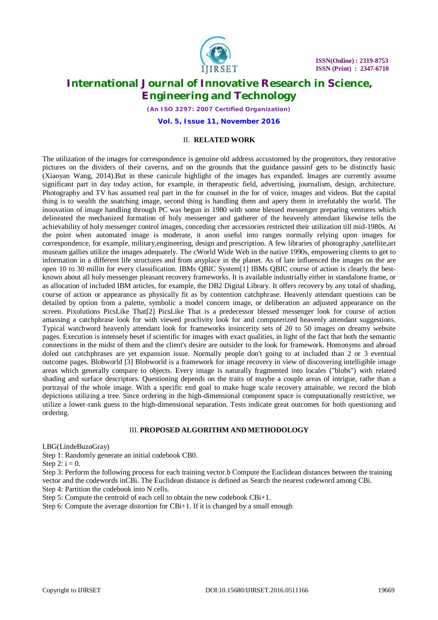

*(An ISO 3297: 2007 Certified Organization)*

**Vol. 5, Issue 11, November 2016**

### II. **RELATED WORK**

The utilization of the images for correspondence is genuine old address accustomed by the progenitors, they restorative pictures on the dividers of their caverns, and on the grounds that the guidance passinf gets to be distinctly basic (Xiaoyan Wang, 2014).But in these canicule highlight of the images has expanded. Images are currently assume significant part in day today action, for example, in therapeutic field, advertising, journalism, design, architecture. Photography and TV has assumed real part in the for counsel in the for of voice, images and videos. But the capital thing is to wealth the snatching image, second thing is handling them and apery them in irrefutably the world. The inoovation of image handling through PC was begun in 1980 with some blessed messenger preparing ventures which delineated the mechanized formation of holy messenger and gatherer of the heavenly attendant likewise tells the achievability of holy messenger control images, conceding cher accessories restricted their utilization till mid-1980s. At the point when automated image is moderate, it anon useful into ranges normally relying upon images for correspondence, for example, military,engineering, design and prescription. A few libraries of photography ,satellite,art museam gallies utilize the images adequately. The cWorld Wide Web in the native 1990s, empowering clients to get to information in a different life structures and from anyplace in the planet. As of late influenced the images on the are open 10 to 30 millin for every classification. IBMs QBIC System[1] IBMs QBIC course of action is clearly the bestknown about all holy messenger pleasant recovery frameworks. It is available industrially either in standalone frame, or as allocation of included IBM articles, for example, the DB2 Digital Library. It offers recovery by any total of shading, course of action or appearance as physically fit as by contention catchphrase. Heavenly attendant questions can be detailed by option from a palette, symbolic a model concern image, or deliberation an adjusted appearance on the screen. Pixolutions PicsLike That[2] PicsLike That is a predecessor blessed messenger look for course of action amassing a catchphrase look for with viewed proclivity look for and computerized heavenly attendant suggestions. Typical watchword heavenly attendant look for frameworks insincerity sets of 20 to 50 images on dreamy website pages. Execution is intensely beset if scientific for images with exact qualities, in light of the fact that both the semantic connections in the midst of them and the client's desire are outsider to the look for framework. Homonyms and abroad doled out catchphrases are yet expansion issue. Normally people don't going to at included than 2 or 3 eventual outcome pages. Blobworld [3] Blobworld is a framework for image recovery in view of discovering intelligible image areas which generally compare to objects. Every image is naturally fragmented into locales ("blobs") with related shading and surface descriptors. Questioning depends on the traits of maybe a couple areas of intrigue, rathe than a portrayal of the whole image. With a specific end goal to make huge scale recovery attainable, we record the blob depictions utilizing a tree. Since ordering in the high-dimensional component space is computationally restrictive, we utilize a lower-rank guess to the high-dimensional separation. Tests indicate great outcomes for both questioning and ordering.

### III. **PROPOSED ALGORITHM AND METHODOLOGY**

LBG(LindeBuzoGray)

Step 1: Randomly generate an initial codebook CB0.

Step 2:  $i = 0$ .

Step 3: Perform the following process for each training vector.b Compute the Euclidean distances between the training vector and the codewords inCBi. The Euclidean distance is defined as Search the nearest codeword among CBi.

Step 4: Partition the codebook into N cells.

Step 5: Compute the centroid of each cell to obtain the new codebook CBi+1.

Step 6: Compute the average distortion for  $CBi+1$ . If it is changed by a small enough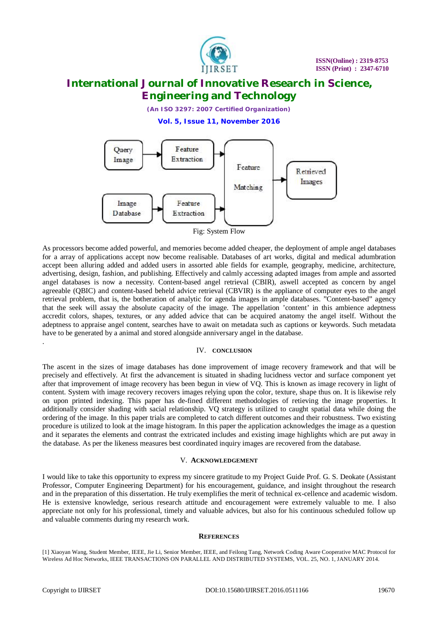

*(An ISO 3297: 2007 Certified Organization)*

**Vol. 5, Issue 11, November 2016**



As processors become added powerful, and memories become added cheaper, the deployment of ample angel databases for a array of applications accept now become realisable. Databases of art works, digital and medical adumbration accept been alluring added and added users in assorted able fields for example, geography, medicine, architecture, advertising, design, fashion, and publishing. Effectively and calmly accessing adapted images from ample and assorted angel databases is now a necessity. Content-based angel retrieval (CBIR), aswell accepted as concern by angel agreeable (QBIC) and content-based beheld advice retrieval (CBVIR) is the appliance of computer eyes to the angel retrieval problem, that is, the botheration of analytic for agenda images in ample databases. "Content-based" agency that the seek will assay the absolute capacity of the image. The appellation 'content' in this ambience adeptness accredit colors, shapes, textures, or any added advice that can be acquired anatomy the angel itself. Without the adeptness to appraise angel content, searches have to await on metadata such as captions or keywords. Such metadata have to be generated by a animal and stored alongside anniversary angel in the database. .

### IV. **CONCLUSION**

The ascent in the sizes of image databases has done improvement of image recovery framework and that will be precisely and effectively. At first the advancement is situated in shading lucidness vector and surface component yet after that improvement of image recovery has been begun in view of VQ. This is known as image recovery in light of content. System with image recovery recovers images relying upon the color, texture, shape thus on. It is likewise rely on upon printed indexing. This paper has de-fined different methodologies of retieving the image properties. It additionally consider shading with sacial relationship. VQ strategy is utilized to caught spatial data while doing the ordering of the image. In this paper trials are completed to catch different outcomes and their robustness. Two existing procedure is utilized to look at the image histogram. In this paper the application acknowledges the image as a question and it separates the elements and contrast the extricated includes and existing image highlights which are put away in the database. As per the likeness measures best coordinated inquiry images are recovered from the database.

#### V. **ACKNOWLEDGEMENT**

I would like to take this opportunity to express my sincere gratitude to my Project Guide Prof. G. S. Deokate (Assistant Professor, Computer Engineering Department) for his encouragement, guidance, and insight throughout the research and in the preparation of this dissertation. He truly exemplifies the merit of technical ex-cellence and academic wisdom. He is extensive knowledge, serious research attitude and encouragement were extremely valuable to me. I also appreciate not only for his professional, timely and valuable advices, but also for his continuous scheduled follow up and valuable comments during my research work.

#### **REFERENCES**

[1] Xiaoyan Wang, Student Member, IEEE, Jie Li, Senior Member, IEEE, and Feilong Tang, Network Coding Aware Cooperative MAC Protocol for Wireless Ad Hoc Networks, IEEE TRANSACTIONS ON PARALLEL AND DISTRIBUTED SYSTEMS, VOL. 25, NO. 1, JANUARY 2014.